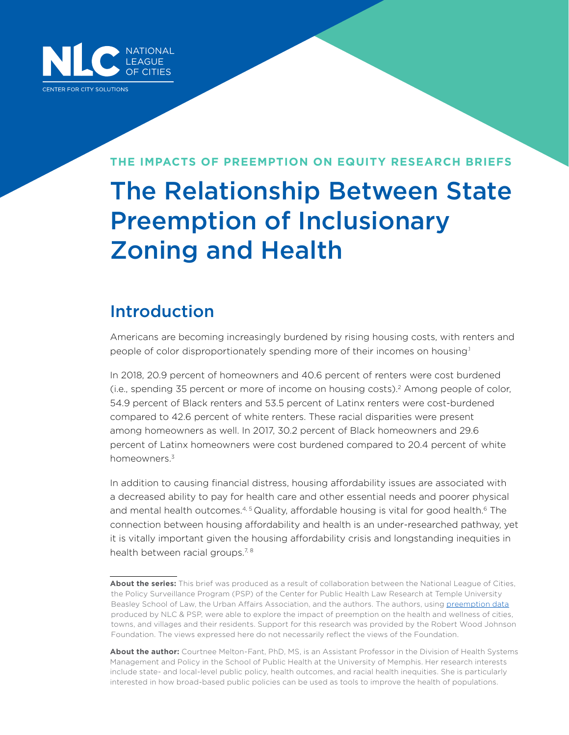

**THE IMPACTS OF PREEMPTION ON EQUITY RESEARCH BRIEFS**

## The Relationship Between State Preemption of Inclusionary Zoning and Health

## Introduction

Americans are becoming increasingly burdened by rising housing costs, with renters and people of color disproportionately spending more of their incomes on housing<sup>1</sup>

In 2018, 20.9 percent of homeowners and 40.6 percent of renters were cost burdened (i.e., spending 35 percent or more of income on housing costs).2 Among people of color, 54.9 percent of Black renters and 53.5 percent of Latinx renters were cost-burdened compared to 42.6 percent of white renters. These racial disparities were present among homeowners as well. In 2017, 30.2 percent of Black homeowners and 29.6 percent of Latinx homeowners were cost burdened compared to 20.4 percent of white homeowners.3

In addition to causing financial distress, housing affordability issues are associated with a decreased ability to pay for health care and other essential needs and poorer physical and mental health outcomes.<sup>4, 5</sup> Quality, affordable housing is vital for good health.<sup>6</sup> The connection between housing affordability and health is an under-researched pathway, yet it is vitally important given the housing affordability crisis and longstanding inequities in health between racial groups.<sup>7, 8</sup>

**About the series:** This brief was produced as a result of collaboration between the National League of Cities, the Policy Surveillance Program (PSP) of the Center for Public Health Law Research at Temple University Beasley School of Law, the Urban Affairs Association, and the authors. The authors, using [preemption data](https://lawatlas.org/datasets/preemption-project) produced by NLC & PSP, were able to explore the impact of preemption on the health and wellness of cities, towns, and villages and their residents. Support for this research was provided by the Robert Wood Johnson Foundation. The views expressed here do not necessarily reflect the views of the Foundation.

**About the author:** Courtnee Melton-Fant, PhD, MS, is an Assistant Professor in the Division of Health Systems Management and Policy in the School of Public Health at the University of Memphis. Her research interests include state- and local-level public policy, health outcomes, and racial health inequities. She is particularly interested in how broad-based public policies can be used as tools to improve the health of populations.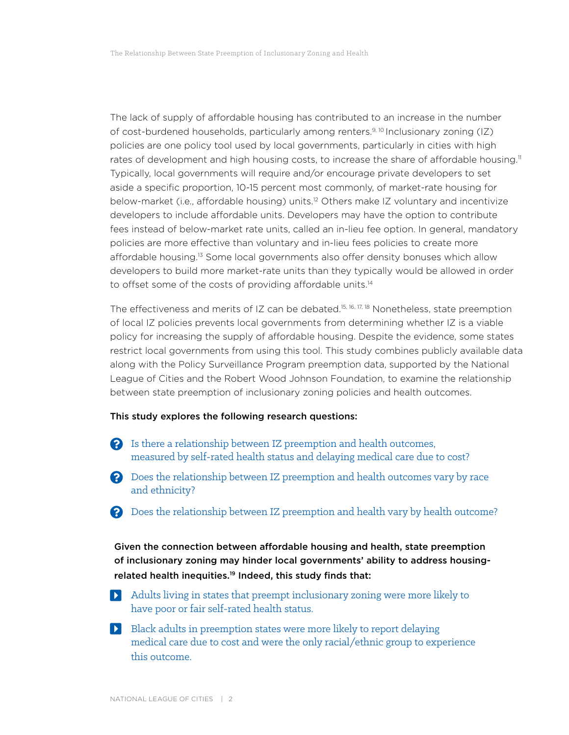The lack of supply of affordable housing has contributed to an increase in the number of cost-burdened households, particularly among renters.<sup>9, 10</sup> Inclusionary zoning (IZ) policies are one policy tool used by local governments, particularly in cities with high rates of development and high housing costs, to increase the share of affordable housing.<sup>11</sup> Typically, local governments will require and/or encourage private developers to set aside a specific proportion, 10-15 percent most commonly, of market-rate housing for below-market (i.e., affordable housing) units.<sup>12</sup> Others make IZ voluntary and incentivize developers to include affordable units. Developers may have the option to contribute fees instead of below-market rate units, called an in-lieu fee option. In general, mandatory policies are more effective than voluntary and in-lieu fees policies to create more affordable housing.13 Some local governments also offer density bonuses which allow developers to build more market-rate units than they typically would be allowed in order to offset some of the costs of providing affordable units.<sup>14</sup>

The effectiveness and merits of IZ can be debated.<sup>15, 16, 17, 18</sup> Nonetheless, state preemption of local IZ policies prevents local governments from determining whether IZ is a viable policy for increasing the supply of affordable housing. Despite the evidence, some states restrict local governments from using this tool. This study combines publicly available data along with the Policy Surveillance Program preemption data, supported by the National League of Cities and the Robert Wood Johnson Foundation, to examine the relationship between state preemption of inclusionary zoning policies and health outcomes.

#### This study explores the following research questions:

- Is there a relationship between IZ preemption and health outcomes, measured by self-rated health status and delaying medical care due to cost?
- 2 Does the relationship between IZ preemption and health outcomes vary by race and ethnicity?
- Does the relationship between IZ preemption and health vary by health outcome?

Given the connection between affordable housing and health, state preemption of inclusionary zoning may hinder local governments' ability to address housingrelated health inequities.19 Indeed, this study finds that:

- Ņ Adults living in states that preempt inclusionary zoning were more likely to have poor or fair self-rated health status.
- **N** Black adults in preemption states were more likely to report delaying medical care due to cost and were the only racial/ethnic group to experience this outcome.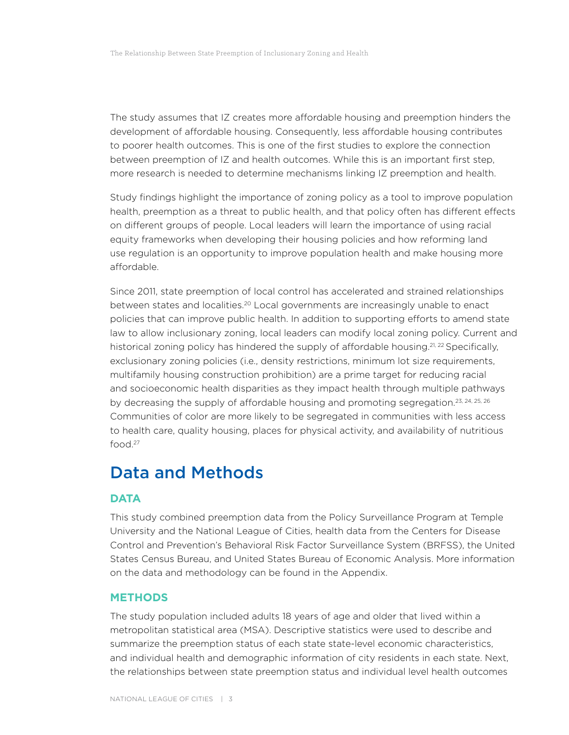The study assumes that IZ creates more affordable housing and preemption hinders the development of affordable housing. Consequently, less affordable housing contributes to poorer health outcomes. This is one of the first studies to explore the connection between preemption of IZ and health outcomes. While this is an important first step, more research is needed to determine mechanisms linking IZ preemption and health.

Study findings highlight the importance of zoning policy as a tool to improve population health, preemption as a threat to public health, and that policy often has different effects on different groups of people. Local leaders will learn the importance of using racial equity frameworks when developing their housing policies and how reforming land use regulation is an opportunity to improve population health and make housing more affordable.

Since 2011, state preemption of local control has accelerated and strained relationships between states and localities.<sup>20</sup> Local governments are increasingly unable to enact policies that can improve public health. In addition to supporting efforts to amend state law to allow inclusionary zoning, local leaders can modify local zoning policy. Current and historical zoning policy has hindered the supply of affordable housing.<sup>21, 22</sup> Specifically, exclusionary zoning policies (i.e., density restrictions, minimum lot size requirements, multifamily housing construction prohibition) are a prime target for reducing racial and socioeconomic health disparities as they impact health through multiple pathways by decreasing the supply of affordable housing and promoting segregation.<sup>23, 24, 25, 26</sup> Communities of color are more likely to be segregated in communities with less access to health care, quality housing, places for physical activity, and availability of nutritious food.27

## Data and Methods

#### **DATA**

This study combined preemption data from the Policy Surveillance Program at Temple University and the National League of Cities, health data from the Centers for Disease Control and Prevention's Behavioral Risk Factor Surveillance System (BRFSS), the United States Census Bureau, and United States Bureau of Economic Analysis. More information on the data and methodology can be found in the Appendix.

#### **METHODS**

The study population included adults 18 years of age and older that lived within a metropolitan statistical area (MSA). Descriptive statistics were used to describe and summarize the preemption status of each state state-level economic characteristics, and individual health and demographic information of city residents in each state. Next, the relationships between state preemption status and individual level health outcomes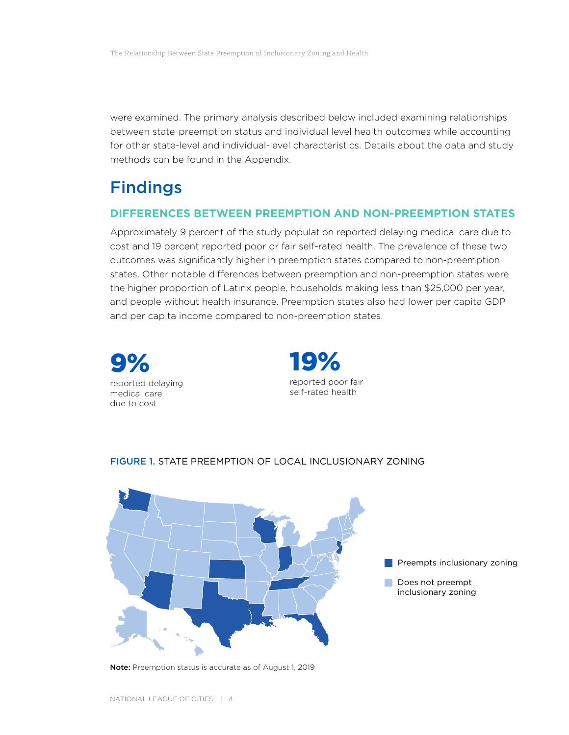were examined. The primary analysis described below included examining relationships between state-preemption status and individual level health outcomes while accounting for other state-level and individual-level characteristics. Details about the data and study methods can be found in the Appendix.

## Findings

#### **DIFFERENCES BETWEEN PREEMPTION AND NON-PREEMPTION STATES**

Approximately 9 percent of the study population reported delaying medical care due to cost and 19 percent reported poor or fair self-rated health. The prevalence of these two outcomes was significantly higher in preemption states compared to non-preemption states. Other notable differences between preemption and non-preemption states were the higher proportion of Latinx people, households making less than \$25,000 per year, and people without health insurance. Preemption states also had lower per capita GDP and per capita income compared to non-preemption states.



# **Preempts inclusionary zoning** Does not preempt inclusionary zoning

#### FIGURE 1. STATE PREEMPTION OF LOCAL INCLUSIONARY ZONING

Note: Preemption status is accurate as of August 1, 2019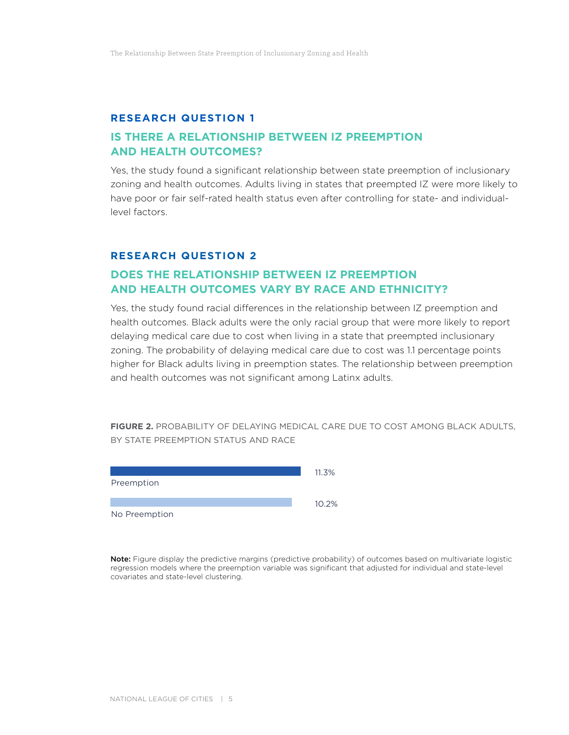#### **RESEARCH QUESTION 1**

#### **IS THERE A RELATIONSHIP BETWEEN IZ PREEMPTION AND HEALTH OUTCOMES?**

Yes, the study found a significant relationship between state preemption of inclusionary zoning and health outcomes. Adults living in states that preempted IZ were more likely to have poor or fair self-rated health status even after controlling for state- and individuallevel factors.

#### **RESEARCH QUESTION 2**

#### **DOES THE RELATIONSHIP BETWEEN IZ PREEMPTION AND HEALTH OUTCOMES VARY BY RACE AND ETHNICITY?**

Yes, the study found racial differences in the relationship between IZ preemption and health outcomes. Black adults were the only racial group that were more likely to report delaying medical care due to cost when living in a state that preempted inclusionary zoning. The probability of delaying medical care due to cost was 1.1 percentage points higher for Black adults living in preemption states. The relationship between preemption and health outcomes was not significant among Latinx adults.

**FIGURE 2.** PROBABILITY OF DELAYING MEDICAL CARE DUE TO COST AMONG BLACK ADULTS, BY STATE PREEMPTION STATUS AND RACE



**Note:** Figure display the predictive margins (predictive probability) of outcomes based on multivariate logistic<br>regression models where the preemption variable was significant that adjusted for individual and state-level regression models where the preemption variable was significant that adjusted for individual and state-level covariates and state-level clustering.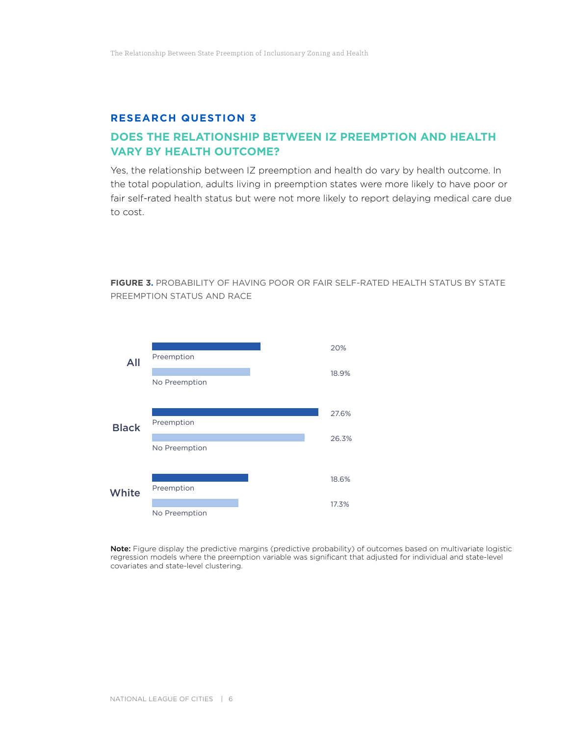#### **RESEARCH QUESTION 3**

#### **DOES THE RELATIONSHIP BETWEEN IZ PREEMPTION AND HEALTH VARY BY HEALTH OUTCOME?**

Yes, the relationship between IZ preemption and health do vary by health outcome. In the total population, adults living in preemption states were more likely to have poor or fair self-rated health status but were not more likely to report delaying medical care due to cost.

**FIGURE 3.** PROBABILITY OF HAVING POOR OR FAIR SELF-RATED HEALTH STATUS BY STATE PREEMPTION STATUS AND RACE



Note: Figure display the predictive margins (predictive probability) of outcomes based on multivariate logistic regression models where the preemption variable was significant that adjusted for individual and state-level covariates and state-level clustering.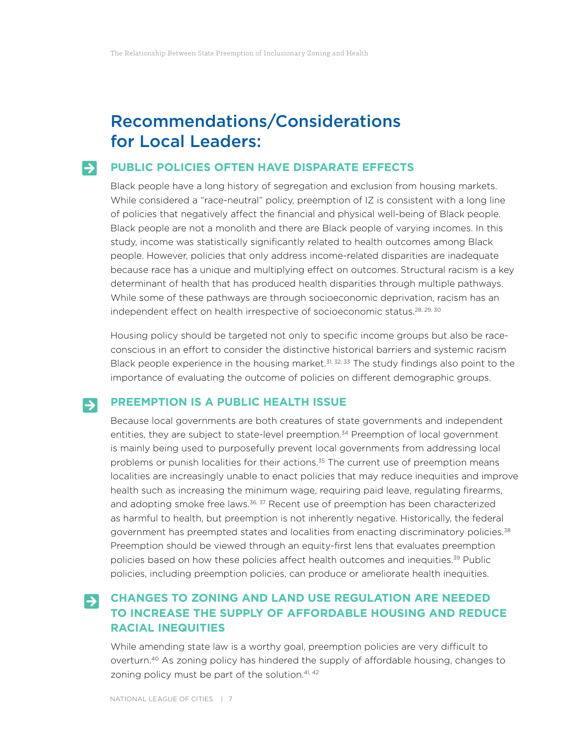## Recommendations/Considerations for Local Leaders:

#### **PUBLIC POLICIES OFTEN HAVE DISPARATE EFFECTS**  $\rightarrow$

Black people have a long history of segregation and exclusion from housing markets. While considered a "race-neutral" policy, preemption of IZ is consistent with a long line of policies that negatively affect the financial and physical well-being of Black people. Black people are not a monolith and there are Black people of varying incomes. In this study, income was statistically significantly related to health outcomes among Black people. However, policies that only address income-related disparities are inadequate because race has a unique and multiplying effect on outcomes. Structural racism is a key determinant of health that has produced health disparities through multiple pathways. While some of these pathways are through socioeconomic deprivation, racism has an independent effect on health irrespective of socioeconomic status.<sup>28, 29, 30</sup>

Housing policy should be targeted not only to specific income groups but also be raceconscious in an effort to consider the distinctive historical barriers and systemic racism Black people experience in the housing market.<sup>31, 32, 33</sup> The study findings also point to the importance of evaluating the outcome of policies on different demographic groups.

#### **PREEMPTION IS A PUBLIC HEALTH ISSUE**  $\Rightarrow$

Because local governments are both creatures of state governments and independent entities, they are subject to state-level preemption.<sup>34</sup> Preemption of local government is mainly being used to purposefully prevent local governments from addressing local problems or punish localities for their actions.<sup>35</sup> The current use of preemption means localities are increasingly unable to enact policies that may reduce inequities and improve health such as increasing the minimum wage, requiring paid leave, regulating firearms, and adopting smoke free laws. $36, 37$  Recent use of preemption has been characterized as harmful to health, but preemption is not inherently negative. Historically, the federal government has preempted states and localities from enacting discriminatory policies.<sup>38</sup> Preemption should be viewed through an equity-first lens that evaluates preemption policies based on how these policies affect health outcomes and inequities.39 Public policies, including preemption policies, can produce or ameliorate health inequities.

#### **CHANGES TO ZONING AND LAND USE REGULATION ARE NEEDED TO INCREASE THE SUPPLY OF AFFORDABLE HOUSING AND REDUCE RACIAL INEQUITIES**  $\rightarrow$

While amending state law is a worthy goal, preemption policies are very difficult to overturn.40 As zoning policy has hindered the supply of affordable housing, changes to zoning policy must be part of the solution.<sup>41, 42</sup>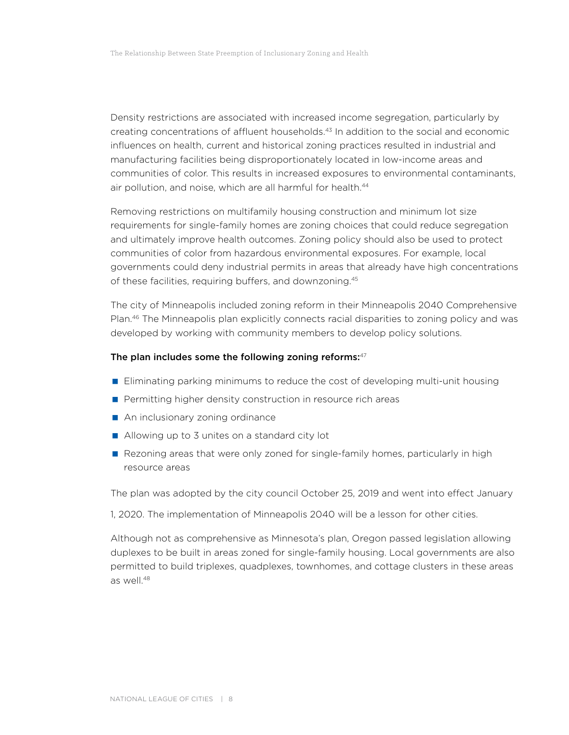Density restrictions are associated with increased income segregation, particularly by creating concentrations of affluent households.43 In addition to the social and economic influences on health, current and historical zoning practices resulted in industrial and manufacturing facilities being disproportionately located in low-income areas and communities of color. This results in increased exposures to environmental contaminants, air pollution, and noise, which are all harmful for health.<sup>44</sup>

Removing restrictions on multifamily housing construction and minimum lot size requirements for single-family homes are zoning choices that could reduce segregation and ultimately improve health outcomes. Zoning policy should also be used to protect communities of color from hazardous environmental exposures. For example, local governments could deny industrial permits in areas that already have high concentrations of these facilities, requiring buffers, and downzoning.45

The city of Minneapolis included zoning reform in their Minneapolis 2040 Comprehensive Plan.46 The Minneapolis plan explicitly connects racial disparities to zoning policy and was developed by working with community members to develop policy solutions.

#### The plan includes some the following zoning reforms: $47$

- **Eliminating parking minimums to reduce the cost of developing multi-unit housing**
- Permitting higher density construction in resource rich areas
- An inclusionary zoning ordinance
- Allowing up to 3 unites on a standard city lot
- Rezoning areas that were only zoned for single-family homes, particularly in high resource areas

The plan was adopted by the city council October 25, 2019 and went into effect January

1, 2020. The implementation of Minneapolis 2040 will be a lesson for other cities.

Although not as comprehensive as Minnesota's plan, Oregon passed legislation allowing duplexes to be built in areas zoned for single-family housing. Local governments are also permitted to build triplexes, quadplexes, townhomes, and cottage clusters in these areas as well.48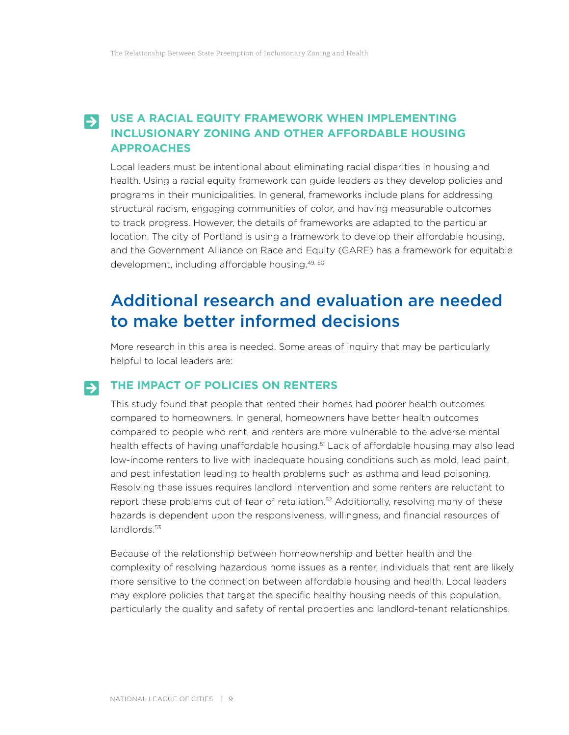#### **SOUSE A RACIAL EQUITY FRAMEWORK WHEN IMPLEMENTING INCLUSIONARY ZONING AND OTHER AFFORDABLE HOUSING APPROACHES**

Local leaders must be intentional about eliminating racial disparities in housing and health. Using a racial equity framework can guide leaders as they develop policies and programs in their municipalities. In general, frameworks include plans for addressing structural racism, engaging communities of color, and having measurable outcomes to track progress. However, the details of frameworks are adapted to the particular location. The city of Portland is using a framework to develop their affordable housing, and the Government Alliance on Race and Equity (GARE) has a framework for equitable development, including affordable housing.49, 50

## Additional research and evaluation are needed to make better informed decisions

More research in this area is needed. Some areas of inquiry that may be particularly helpful to local leaders are:

#### **THE IMPACT OF POLICIES ON RENTERS**  $\rightarrow$

This study found that people that rented their homes had poorer health outcomes compared to homeowners. In general, homeowners have better health outcomes compared to people who rent, and renters are more vulnerable to the adverse mental health effects of having unaffordable housing.51 Lack of affordable housing may also lead low-income renters to live with inadequate housing conditions such as mold, lead paint, and pest infestation leading to health problems such as asthma and lead poisoning. Resolving these issues requires landlord intervention and some renters are reluctant to report these problems out of fear of retaliation.<sup>52</sup> Additionally, resolving many of these hazards is dependent upon the responsiveness, willingness, and financial resources of landlords.<sup>53</sup>

Because of the relationship between homeownership and better health and the complexity of resolving hazardous home issues as a renter, individuals that rent are likely more sensitive to the connection between affordable housing and health. Local leaders may explore policies that target the specific healthy housing needs of this population, particularly the quality and safety of rental properties and landlord-tenant relationships.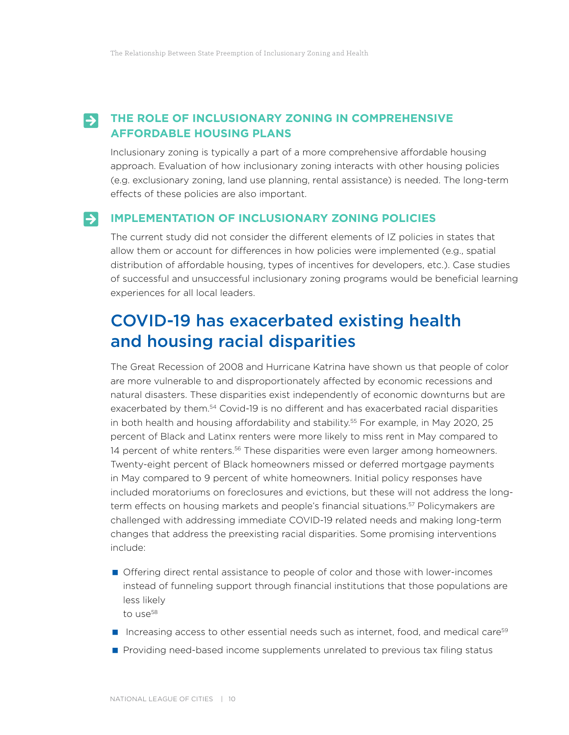#### **THE ROLE OF INCLUSIONARY ZONING IN COMPREHENSIVE AFFORDABLE HOUSING PLANS**  $\rightarrow$

Inclusionary zoning is typically a part of a more comprehensive affordable housing approach. Evaluation of how inclusionary zoning interacts with other housing policies (e.g. exclusionary zoning, land use planning, rental assistance) is needed. The long-term effects of these policies are also important.

#### **IMPLEMENTATION OF INCLUSIONARY ZONING POLICIES**  $\rightarrow$

The current study did not consider the different elements of IZ policies in states that allow them or account for differences in how policies were implemented (e.g., spatial distribution of affordable housing, types of incentives for developers, etc.). Case studies of successful and unsuccessful inclusionary zoning programs would be beneficial learning experiences for all local leaders.

## COVID-19 has exacerbated existing health and housing racial disparities

The Great Recession of 2008 and Hurricane Katrina have shown us that people of color are more vulnerable to and disproportionately affected by economic recessions and natural disasters. These disparities exist independently of economic downturns but are exacerbated by them.54 Covid-19 is no different and has exacerbated racial disparities in both health and housing affordability and stability.<sup>55</sup> For example, in May 2020, 25 percent of Black and Latinx renters were more likely to miss rent in May compared to 14 percent of white renters.<sup>56</sup> These disparities were even larger among homeowners. Twenty-eight percent of Black homeowners missed or deferred mortgage payments in May compared to 9 percent of white homeowners. Initial policy responses have included moratoriums on foreclosures and evictions, but these will not address the longterm effects on housing markets and people's financial situations.57 Policymakers are challenged with addressing immediate COVID-19 related needs and making long-term changes that address the preexisting racial disparities. Some promising interventions include:

- **Offering direct rental assistance to people of color and those with lower-incomes** instead of funneling support through financial institutions that those populations are less likely to use<sup>58</sup>
- Increasing access to other essential needs such as internet, food, and medical care<sup>59</sup>
- **Providing need-based income supplements unrelated to previous tax filing status**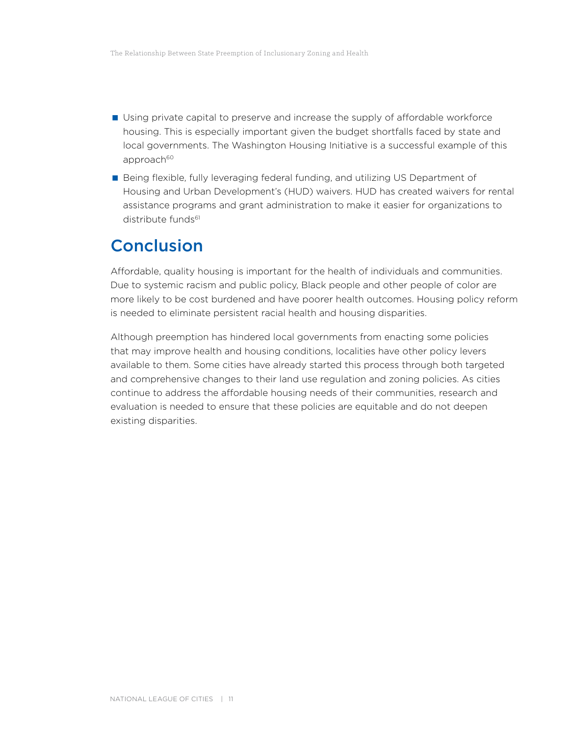- **Using private capital to preserve and increase the supply of affordable workforce** housing. This is especially important given the budget shortfalls faced by state and local governments. The Washington Housing Initiative is a successful example of this approach<sup>60</sup>
- Being flexible, fully leveraging federal funding, and utilizing US Department of Housing and Urban Development's (HUD) waivers. HUD has created waivers for rental assistance programs and grant administration to make it easier for organizations to distribute funds<sup>61</sup>

## Conclusion

Affordable, quality housing is important for the health of individuals and communities. Due to systemic racism and public policy, Black people and other people of color are more likely to be cost burdened and have poorer health outcomes. Housing policy reform is needed to eliminate persistent racial health and housing disparities.

Although preemption has hindered local governments from enacting some policies that may improve health and housing conditions, localities have other policy levers available to them. Some cities have already started this process through both targeted and comprehensive changes to their land use regulation and zoning policies. As cities continue to address the affordable housing needs of their communities, research and evaluation is needed to ensure that these policies are equitable and do not deepen existing disparities.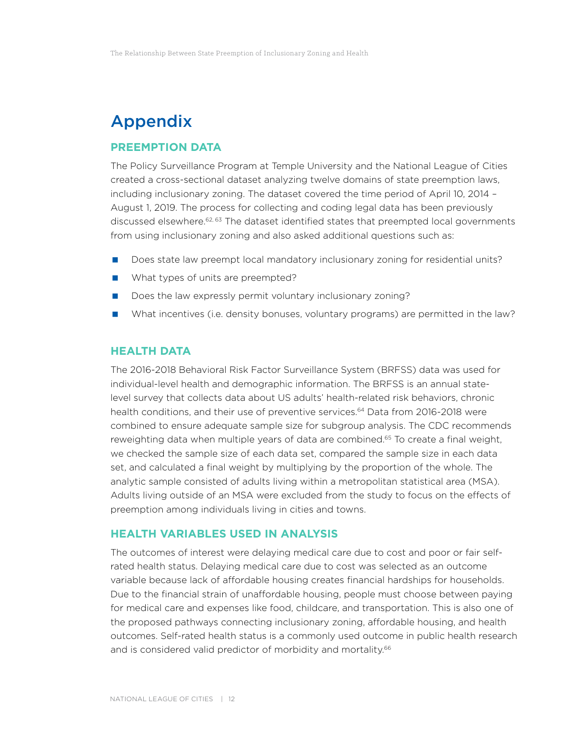## Appendix

#### **PREEMPTION DATA**

The Policy Surveillance Program at Temple University and the National League of Cities created a cross-sectional dataset analyzing twelve domains of state preemption laws, including inclusionary zoning. The dataset covered the time period of April 10, 2014 – August 1, 2019. The process for collecting and coding legal data has been previously discussed elsewhere.<sup>62, 63</sup> The dataset identified states that preempted local governments from using inclusionary zoning and also asked additional questions such as:

- Does state law preempt local mandatory inclusionary zoning for residential units?
- What types of units are preempted?
- Does the law expressly permit voluntary inclusionary zoning?
- What incentives (i.e. density bonuses, voluntary programs) are permitted in the law?

#### **HEALTH DATA**

The 2016-2018 Behavioral Risk Factor Surveillance System (BRFSS) data was used for individual-level health and demographic information. The BRFSS is an annual statelevel survey that collects data about US adults' health-related risk behaviors, chronic health conditions, and their use of preventive services.64 Data from 2016-2018 were combined to ensure adequate sample size for subgroup analysis. The CDC recommends reweighting data when multiple years of data are combined.<sup>65</sup> To create a final weight, we checked the sample size of each data set, compared the sample size in each data set, and calculated a final weight by multiplying by the proportion of the whole. The analytic sample consisted of adults living within a metropolitan statistical area (MSA). Adults living outside of an MSA were excluded from the study to focus on the effects of preemption among individuals living in cities and towns.

#### **HEALTH VARIABLES USED IN ANALYSIS**

The outcomes of interest were delaying medical care due to cost and poor or fair selfrated health status. Delaying medical care due to cost was selected as an outcome variable because lack of affordable housing creates financial hardships for households. Due to the financial strain of unaffordable housing, people must choose between paying for medical care and expenses like food, childcare, and transportation. This is also one of the proposed pathways connecting inclusionary zoning, affordable housing, and health outcomes. Self-rated health status is a commonly used outcome in public health research and is considered valid predictor of morbidity and mortality.<sup>66</sup>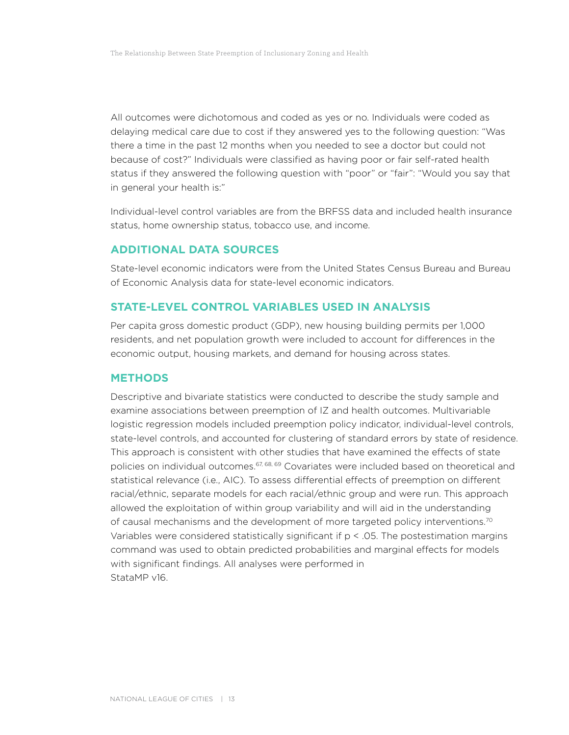All outcomes were dichotomous and coded as yes or no. Individuals were coded as delaying medical care due to cost if they answered yes to the following question: "Was there a time in the past 12 months when you needed to see a doctor but could not because of cost?" Individuals were classified as having poor or fair self-rated health status if they answered the following question with "poor" or "fair": "Would you say that in general your health is:"

Individual-level control variables are from the BRFSS data and included health insurance status, home ownership status, tobacco use, and income.

#### **ADDITIONAL DATA SOURCES**

State-level economic indicators were from the United States Census Bureau and Bureau of Economic Analysis data for state-level economic indicators.

#### **STATE-LEVEL CONTROL VARIABLES USED IN ANALYSIS**

Per capita gross domestic product (GDP), new housing building permits per 1,000 residents, and net population growth were included to account for differences in the economic output, housing markets, and demand for housing across states.

#### **METHODS**

Descriptive and bivariate statistics were conducted to describe the study sample and examine associations between preemption of IZ and health outcomes. Multivariable logistic regression models included preemption policy indicator, individual-level controls, state-level controls, and accounted for clustering of standard errors by state of residence. This approach is consistent with other studies that have examined the effects of state policies on individual outcomes.<sup>67, 68, 69</sup> Covariates were included based on theoretical and statistical relevance (i.e., AIC). To assess differential effects of preemption on different racial/ethnic, separate models for each racial/ethnic group and were run. This approach allowed the exploitation of within group variability and will aid in the understanding of causal mechanisms and the development of more targeted policy interventions.<sup>70</sup> Variables were considered statistically significant if  $p < 0.05$ . The postestimation margins command was used to obtain predicted probabilities and marginal effects for models with significant findings. All analyses were performed in StataMP v16.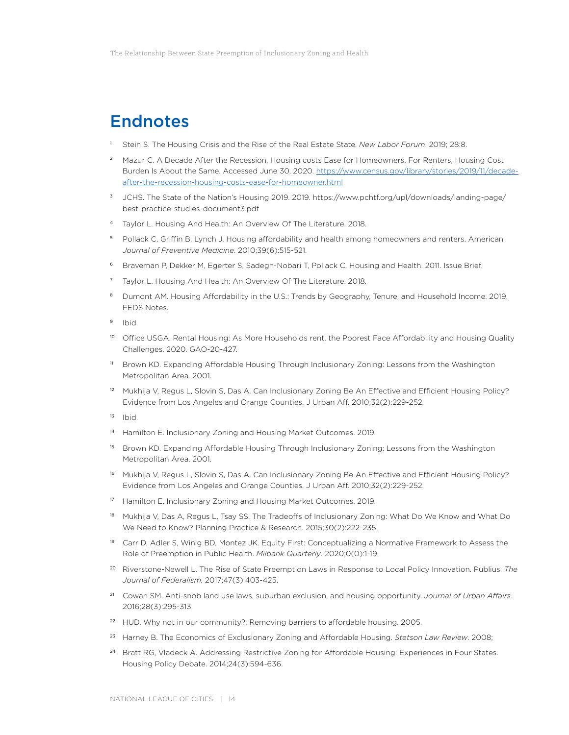### Endnotes

- <sup>1</sup> Stein S. The Housing Crisis and the Rise of the Real Estate State. *New Labor Forum*. 2019; 28:8.
- Mazur C. A Decade After the Recession, Housing costs Ease for Homeowners, For Renters, Housing Cost Burden Is About the Same. Accessed June 30, 2020. [https://www.census.gov/library/stories/2019/11/decade](https://www.census.gov/library/stories/2019/11/decade-after-the-recession-housing-costs-ease-for-homeowner.html)[after-the-recession-housing-costs-ease-for-homeowner.html](https://www.census.gov/library/stories/2019/11/decade-after-the-recession-housing-costs-ease-for-homeowner.html)
- <sup>3</sup> JCHS. The State of the Nation's Housing 2019. 2019. https://www.pchtf.org/upl/downloads/landing-page/ best-practice-studies-document3.pdf
- Taylor L. Housing And Health: An Overview Of The Literature. 2018.
- <sup>5</sup> Pollack C, Griffin B, Lynch J. Housing affordability and health among homeowners and renters. American *Journal of Preventive Medicine*. 2010;39(6):515-521.
- <sup>6</sup> Braveman P, Dekker M, Egerter S, Sadegh-Nobari T, Pollack C. Housing and Health. 2011. Issue Brief.
- <sup>7</sup> Taylor L. Housing And Health: An Overview Of The Literature. 2018.
- 8 Dumont AM. Housing Affordability in the U.S.: Trends by Geography, Tenure, and Household Income. 2019. FEDS Notes.
- <sup>9</sup> Ibid.
- <sup>10</sup> Office USGA. Rental Housing: As More Households rent, the Poorest Face Affordability and Housing Quality Challenges. 2020. GAO-20-427.
- <sup>11</sup> Brown KD. Expanding Affordable Housing Through Inclusionary Zoning: Lessons from the Washington Metropolitan Area. 2001.
- <sup>12</sup> Mukhija V, Regus L, Slovin S, Das A. Can Inclusionary Zoning Be An Effective and Efficient Housing Policy? Evidence from Los Angeles and Orange Counties. J Urban Aff. 2010;32(2):229-252.
- <sup>13</sup> Ibid.
- 14 Hamilton E. Inclusionary Zoning and Housing Market Outcomes. 2019.
- <sup>15</sup> Brown KD. Expanding Affordable Housing Through Inclusionary Zoning: Lessons from the Washington Metropolitan Area. 2001.
- 16 Mukhija V, Regus L, Slovin S, Das A. Can Inclusionary Zoning Be An Effective and Efficient Housing Policy? Evidence from Los Angeles and Orange Counties. J Urban Aff. 2010;32(2):229-252.
- Hamilton E. Inclusionary Zoning and Housing Market Outcomes. 2019.
- <sup>18</sup> Mukhija V, Das A, Regus L, Tsay SS. The Tradeoffs of Inclusionary Zoning: What Do We Know and What Do We Need to Know? Planning Practice & Research. 2015;30(2):222-235.
- 19 Carr D, Adler S, Winig BD, Montez JK. Equity First: Conceptualizing a Normative Framework to Assess the Role of Preemption in Public Health. *Milbank Quarterly*. 2020;0(0):1-19.
- <sup>20</sup> Riverstone-Newell L. The Rise of State Preemption Laws in Response to Local Policy Innovation. Publius: *The Journal of Federalism.* 2017;47(3):403-425.
- <sup>21</sup> Cowan SM. Anti-snob land use laws, suburban exclusion, and housing opportunity. *Journal of Urban Affairs*. 2016;28(3):295-313.
- <sup>22</sup> HUD. Why not in our community?: Removing barriers to affordable housing. 2005.
- <sup>23</sup> Harney B. The Economics of Exclusionary Zoning and Affordable Housing. *Stetson Law Review*. 2008;
- <sup>24</sup> Bratt RG, Vladeck A. Addressing Restrictive Zoning for Affordable Housing: Experiences in Four States. Housing Policy Debate. 2014;24(3):594-636.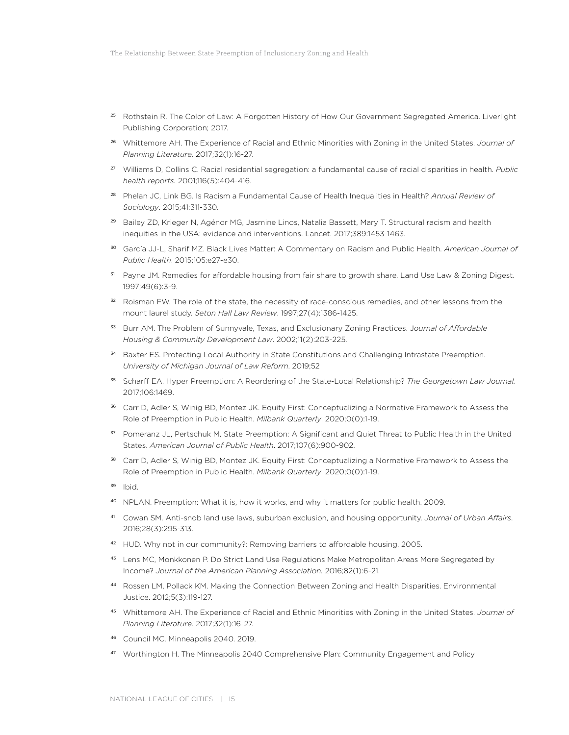- <sup>25</sup> Rothstein R. The Color of Law: A Forgotten History of How Our Government Segregated America. Liverlight Publishing Corporation; 2017.
- <sup>26</sup> Whittemore AH. The Experience of Racial and Ethnic Minorities with Zoning in the United States. *Journal of Planning Literature*. 2017;32(1):16-27.
- <sup>27</sup> Williams D, Collins C. Racial residential segregation: a fundamental cause of racial disparities in health. *Public health reports.* 2001;116(5):404-416.
- <sup>28</sup> Phelan JC, Link BG. Is Racism a Fundamental Cause of Health Inequalities in Health? *Annual Review of Sociology*. 2015;41:311-330.
- <sup>29</sup> Bailey ZD, Krieger N, Agénor MG, Jasmine Linos, Natalia Bassett, Mary T. Structural racism and health inequities in the USA: evidence and interventions. Lancet. 2017;389:1453-1463.
- <sup>30</sup> García JJ-L, Sharif MZ. Black Lives Matter: A Commentary on Racism and Public Health. *American Journal of Public Health*. 2015;105:e27-e30.
- <sup>31</sup> Payne JM. Remedies for affordable housing from fair share to growth share. Land Use Law & Zoning Digest. 1997;49(6):3-9.
- <sup>32</sup> Roisman FW. The role of the state, the necessity of race-conscious remedies, and other lessons from the mount laurel study. *Seton Hall Law Review*. 1997;27(4):1386-1425.
- <sup>33</sup> Burr AM. The Problem of Sunnyvale, Texas, and Exclusionary Zoning Practices. J*ournal of Affordable Housing & Community Development Law*. 2002;11(2):203-225.
- <sup>34</sup> Baxter ES. Protecting Local Authority in State Constitutions and Challenging Intrastate Preemption. *University of Michigan Journal of Law Reform*. 2019;52
- <sup>35</sup> Scharff EA. Hyper Preemption: A Reordering of the State-Local Relationship? *The Georgetown Law Journal.* 2017;106:1469.
- <sup>36</sup> Carr D, Adler S, Winig BD, Montez JK. Equity First: Conceptualizing a Normative Framework to Assess the Role of Preemption in Public Health. *Milbank Quarterly*. 2020;0(0):1-19.
- <sup>37</sup> Pomeranz JL, Pertschuk M. State Preemption: A Significant and Quiet Threat to Public Health in the United States. *American Journal of Public Health*. 2017;107(6):900-902.
- <sup>38</sup> Carr D, Adler S, Winig BD, Montez JK. Equity First: Conceptualizing a Normative Framework to Assess the Role of Preemption in Public Health. *Milbank Quarterly*. 2020;0(0):1-19.
- <sup>39</sup> Ibid.
- <sup>40</sup> NPLAN. Preemption: What it is, how it works, and why it matters for public health. 2009.
- <sup>41</sup> Cowan SM. Anti-snob land use laws, suburban exclusion, and housing opportunity. *Journal of Urban Affairs*. 2016;28(3):295-313.
- <sup>42</sup> HUD. Why not in our community?: Removing barriers to affordable housing. 2005.
- 43 Lens MC, Monkkonen P. Do Strict Land Use Regulations Make Metropolitan Areas More Segregated by Income? *Journal of the American Planning Association.* 2016;82(1):6-21.
- <sup>44</sup> Rossen LM, Pollack KM. Making the Connection Between Zoning and Health Disparities. Environmental Justice. 2012;5(3):119-127.
- <sup>45</sup> Whittemore AH. The Experience of Racial and Ethnic Minorities with Zoning in the United States. *Journal of Planning Literature*. 2017;32(1):16-27.
- <sup>46</sup> Council MC. Minneapolis 2040. 2019.
- 47 Worthington H. The Minneapolis 2040 Comprehensive Plan: Community Engagement and Policy